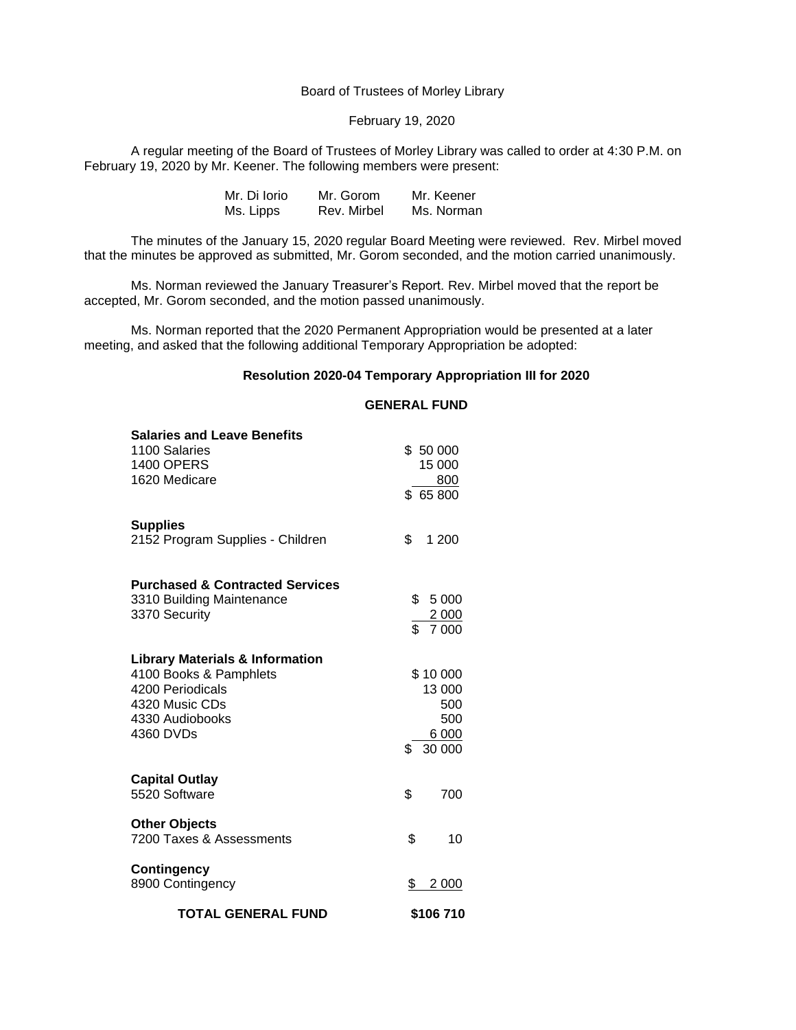#### Board of Trustees of Morley Library

# February 19, 2020

A regular meeting of the Board of Trustees of Morley Library was called to order at 4:30 P.M. on February 19, 2020 by Mr. Keener. The following members were present:

| Mr. Di Iorio | Mr. Gorom   | Mr. Keener |
|--------------|-------------|------------|
| Ms. Lipps    | Rev. Mirbel | Ms. Norman |

The minutes of the January 15, 2020 regular Board Meeting were reviewed. Rev. Mirbel moved that the minutes be approved as submitted, Mr. Gorom seconded, and the motion carried unanimously.

Ms. Norman reviewed the January Treasurer's Report. Rev. Mirbel moved that the report be accepted, Mr. Gorom seconded, and the motion passed unanimously.

Ms. Norman reported that the 2020 Permanent Appropriation would be presented at a later meeting, and asked that the following additional Temporary Appropriation be adopted:

## **Resolution 2020-04 Temporary Appropriation III for 2020**

| <b>Salaries and Leave Benefits</b><br>1100 Salaries<br><b>1400 OPERS</b> |     | \$50 000<br>15 000 |
|--------------------------------------------------------------------------|-----|--------------------|
| 1620 Medicare                                                            |     | 800<br>\$65800     |
| <b>Supplies</b><br>2152 Program Supplies - Children                      | \$  | 1 200              |
| <b>Purchased &amp; Contracted Services</b>                               |     |                    |
| 3310 Building Maintenance                                                | \$  | 5 0 0 0            |
| 3370 Security                                                            |     | 2 0 0 0            |
|                                                                          |     | \$7000             |
| <b>Library Materials &amp; Information</b>                               |     |                    |
| 4100 Books & Pamphlets                                                   |     | \$10 000           |
| 4200 Periodicals                                                         |     | 13 000             |
| 4320 Music CDs                                                           |     | 500                |
| 4330 Audiobooks                                                          |     | 500                |
| 4360 DVDs                                                                |     | 6 0 0 0            |
|                                                                          | \$. | 30 000             |
| <b>Capital Outlay</b>                                                    |     |                    |
| 5520 Software                                                            | \$  | 700                |
| <b>Other Objects</b>                                                     |     |                    |
| 7200 Taxes & Assessments                                                 | \$  | 10                 |
| <b>Contingency</b>                                                       |     |                    |
| 8900 Contingency                                                         | \$  | 2 000              |
|                                                                          |     |                    |
| <b>TOTAL GENERAL FUND</b>                                                |     | \$106 710          |

#### **GENERAL FUND**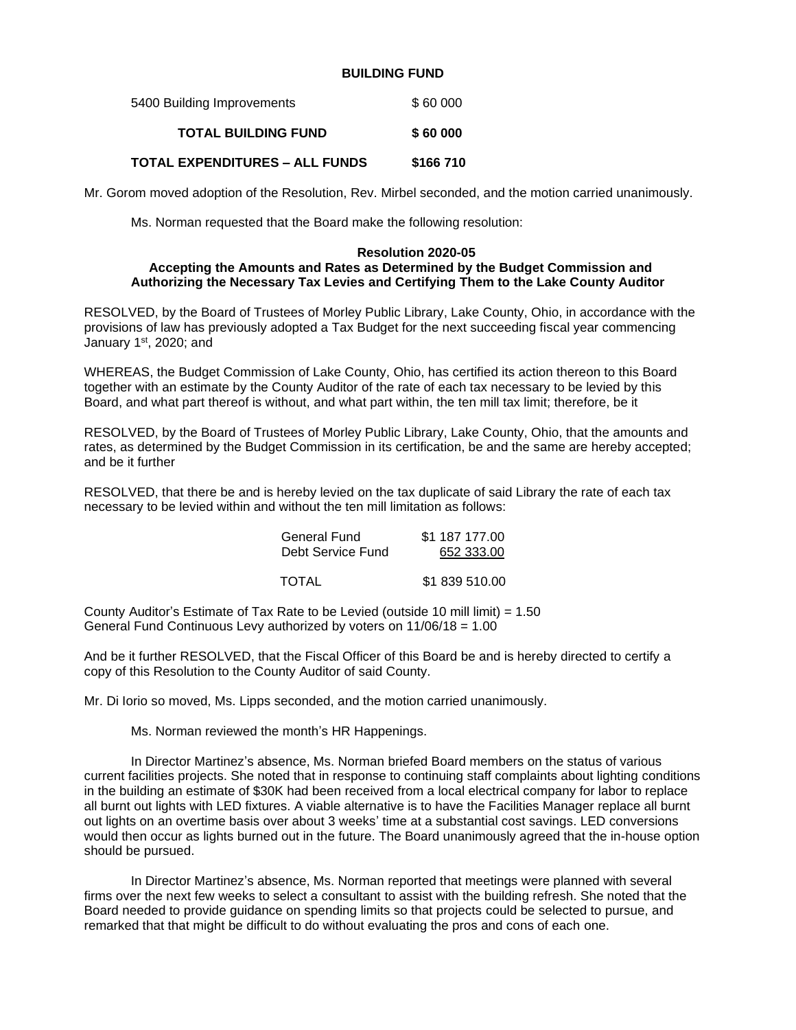### **BUILDING FUND**

| 5400 Building Improvements            | \$60 000  |
|---------------------------------------|-----------|
| <b>TOTAL BUILDING FUND</b>            | \$60 000  |
| <b>TOTAL EXPENDITURES – ALL FUNDS</b> | \$166 710 |

Mr. Gorom moved adoption of the Resolution, Rev. Mirbel seconded, and the motion carried unanimously.

Ms. Norman requested that the Board make the following resolution:

#### **Resolution 2020-05 Accepting the Amounts and Rates as Determined by the Budget Commission and Authorizing the Necessary Tax Levies and Certifying Them to the Lake County Auditor**

RESOLVED, by the Board of Trustees of Morley Public Library, Lake County, Ohio, in accordance with the provisions of law has previously adopted a Tax Budget for the next succeeding fiscal year commencing January 1<sup>st</sup>, 2020; and

WHEREAS, the Budget Commission of Lake County, Ohio, has certified its action thereon to this Board together with an estimate by the County Auditor of the rate of each tax necessary to be levied by this Board, and what part thereof is without, and what part within, the ten mill tax limit; therefore, be it

RESOLVED, by the Board of Trustees of Morley Public Library, Lake County, Ohio, that the amounts and rates, as determined by the Budget Commission in its certification, be and the same are hereby accepted; and be it further

RESOLVED, that there be and is hereby levied on the tax duplicate of said Library the rate of each tax necessary to be levied within and without the ten mill limitation as follows:

| General Fund      | \$1 187 177.00 |  |  |
|-------------------|----------------|--|--|
| Debt Service Fund | 652 333.00     |  |  |
|                   |                |  |  |
| TOTAL             | \$1839510.00   |  |  |

County Auditor's Estimate of Tax Rate to be Levied (outside 10 mill limit) =  $1.50$ General Fund Continuous Levy authorized by voters on 11/06/18 = 1.00

And be it further RESOLVED, that the Fiscal Officer of this Board be and is hereby directed to certify a copy of this Resolution to the County Auditor of said County.

Mr. Di Iorio so moved, Ms. Lipps seconded, and the motion carried unanimously.

Ms. Norman reviewed the month's HR Happenings.

In Director Martinez's absence, Ms. Norman briefed Board members on the status of various current facilities projects. She noted that in response to continuing staff complaints about lighting conditions in the building an estimate of \$30K had been received from a local electrical company for labor to replace all burnt out lights with LED fixtures. A viable alternative is to have the Facilities Manager replace all burnt out lights on an overtime basis over about 3 weeks' time at a substantial cost savings. LED conversions would then occur as lights burned out in the future. The Board unanimously agreed that the in-house option should be pursued.

In Director Martinez's absence, Ms. Norman reported that meetings were planned with several firms over the next few weeks to select a consultant to assist with the building refresh. She noted that the Board needed to provide guidance on spending limits so that projects could be selected to pursue, and remarked that that might be difficult to do without evaluating the pros and cons of each one.